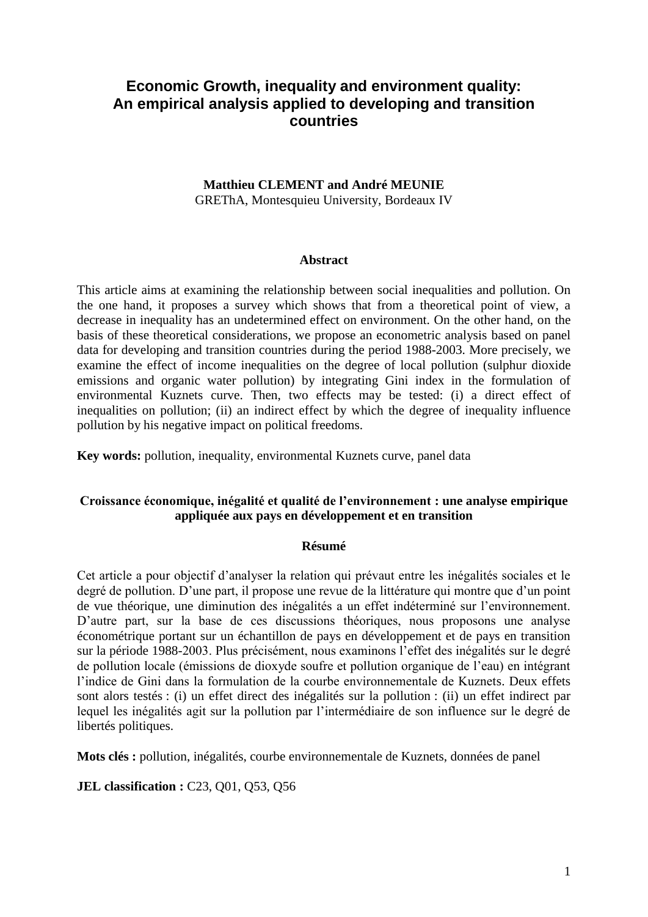# **Economic Growth, inequality and environment quality: An empirical analysis applied to developing and transition countries**

## **Matthieu CLEMENT and André MEUNIE** GREThA, Montesquieu University, Bordeaux IV

## **Abstract**

This article aims at examining the relationship between social inequalities and pollution. On the one hand, it proposes a survey which shows that from a theoretical point of view, a decrease in inequality has an undetermined effect on environment. On the other hand, on the basis of these theoretical considerations, we propose an econometric analysis based on panel data for developing and transition countries during the period 1988-2003. More precisely, we examine the effect of income inequalities on the degree of local pollution (sulphur dioxide emissions and organic water pollution) by integrating Gini index in the formulation of environmental Kuznets curve. Then, two effects may be tested: (i) a direct effect of inequalities on pollution; (ii) an indirect effect by which the degree of inequality influence pollution by his negative impact on political freedoms.

**Key words:** pollution, inequality, environmental Kuznets curve, panel data

# **Croissance économique, inégalité et qualité de l'environnement : une analyse empirique appliquée aux pays en développement et en transition**

#### **Résumé**

Cet article a pour objectif d"analyser la relation qui prévaut entre les inégalités sociales et le degré de pollution. D'une part, il propose une revue de la littérature qui montre que d'un point de vue théorique, une diminution des inégalités a un effet indéterminé sur l"environnement. D"autre part, sur la base de ces discussions théoriques, nous proposons une analyse économétrique portant sur un échantillon de pays en développement et de pays en transition sur la période 1988-2003. Plus précisément, nous examinons l"effet des inégalités sur le degré de pollution locale (émissions de dioxyde soufre et pollution organique de l"eau) en intégrant l"indice de Gini dans la formulation de la courbe environnementale de Kuznets. Deux effets sont alors testés : (i) un effet direct des inégalités sur la pollution : (ii) un effet indirect par lequel les inégalités agit sur la pollution par l"intermédiaire de son influence sur le degré de libertés politiques.

**Mots clés :** pollution, inégalités, courbe environnementale de Kuznets, données de panel

**JEL classification :** C23, Q01, Q53, Q56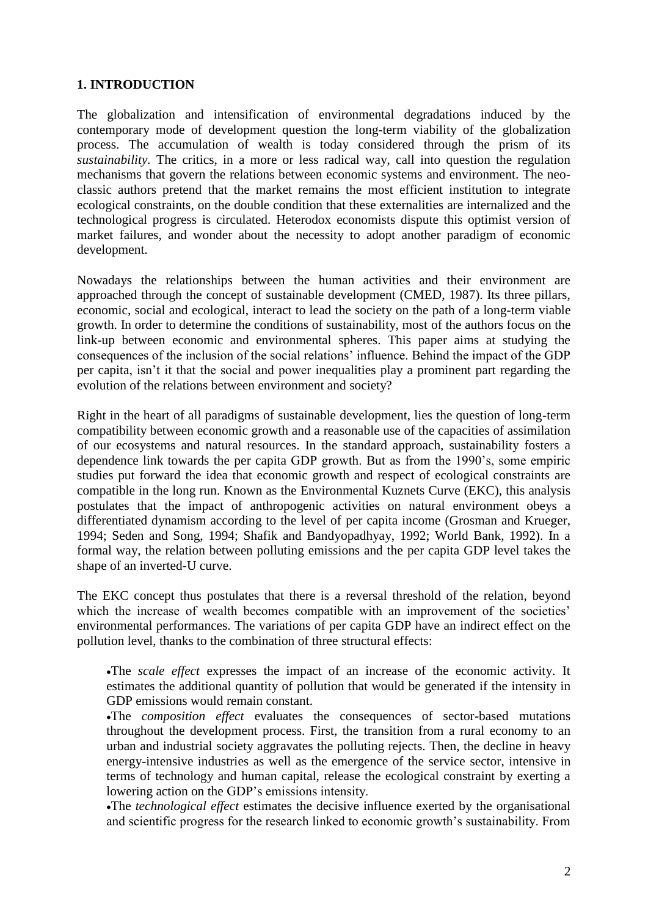## **1. INTRODUCTION**

The globalization and intensification of environmental degradations induced by the contemporary mode of development question the long-term viability of the globalization process. The accumulation of wealth is today considered through the prism of its *sustainability.* The critics, in a more or less radical way, call into question the regulation mechanisms that govern the relations between economic systems and environment. The neoclassic authors pretend that the market remains the most efficient institution to integrate ecological constraints, on the double condition that these externalities are internalized and the technological progress is circulated. Heterodox economists dispute this optimist version of market failures, and wonder about the necessity to adopt another paradigm of economic development.

Nowadays the relationships between the human activities and their environment are approached through the concept of sustainable development (CMED, 1987). Its three pillars, economic, social and ecological, interact to lead the society on the path of a long-term viable growth. In order to determine the conditions of sustainability, most of the authors focus on the link-up between economic and environmental spheres. This paper aims at studying the consequences of the inclusion of the social relations' influence. Behind the impact of the GDP per capita, isn"t it that the social and power inequalities play a prominent part regarding the evolution of the relations between environment and society?

Right in the heart of all paradigms of sustainable development, lies the question of long-term compatibility between economic growth and a reasonable use of the capacities of assimilation of our ecosystems and natural resources. In the standard approach, sustainability fosters a dependence link towards the per capita GDP growth. But as from the 1990"s, some empiric studies put forward the idea that economic growth and respect of ecological constraints are compatible in the long run. Known as the Environmental Kuznets Curve (EKC), this analysis postulates that the impact of anthropogenic activities on natural environment obeys a differentiated dynamism according to the level of per capita income (Grosman and Krueger, 1994; Seden and Song, 1994; Shafik and Bandyopadhyay, 1992; World Bank, 1992). In a formal way, the relation between polluting emissions and the per capita GDP level takes the shape of an inverted-U curve.

The EKC concept thus postulates that there is a reversal threshold of the relation, beyond which the increase of wealth becomes compatible with an improvement of the societies' environmental performances. The variations of per capita GDP have an indirect effect on the pollution level, thanks to the combination of three structural effects:

The *scale effect* expresses the impact of an increase of the economic activity. It estimates the additional quantity of pollution that would be generated if the intensity in GDP emissions would remain constant.

The *composition effect* evaluates the consequences of sector-based mutations throughout the development process. First, the transition from a rural economy to an urban and industrial society aggravates the polluting rejects. Then, the decline in heavy energy-intensive industries as well as the emergence of the service sector, intensive in terms of technology and human capital, release the ecological constraint by exerting a lowering action on the GDP"s emissions intensity.

The *technological effect* estimates the decisive influence exerted by the organisational and scientific progress for the research linked to economic growth's sustainability. From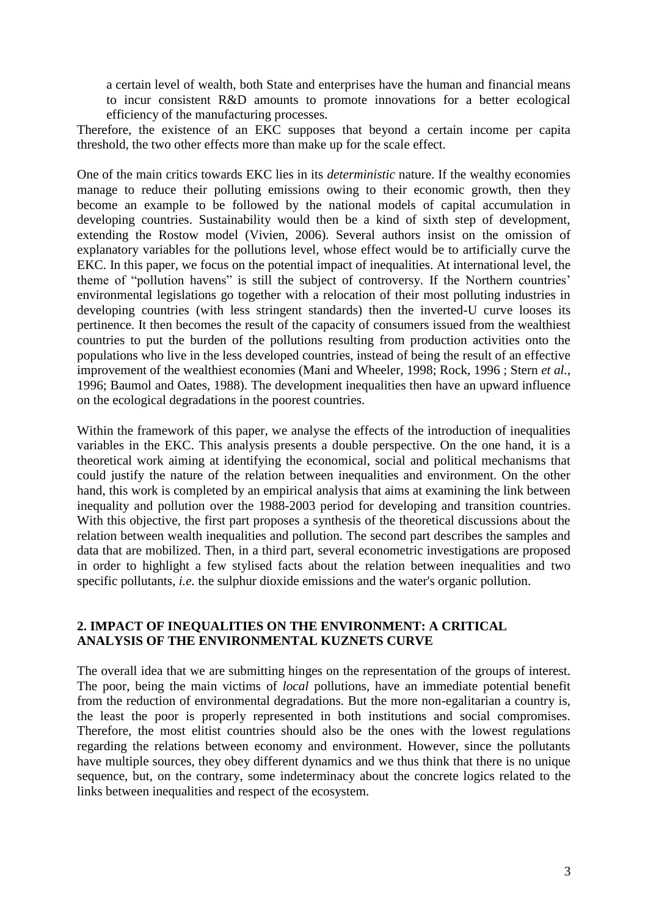a certain level of wealth, both State and enterprises have the human and financial means to incur consistent R&D amounts to promote innovations for a better ecological efficiency of the manufacturing processes.

Therefore, the existence of an EKC supposes that beyond a certain income per capita threshold, the two other effects more than make up for the scale effect.

One of the main critics towards EKC lies in its *deterministic* nature. If the wealthy economies manage to reduce their polluting emissions owing to their economic growth, then they become an example to be followed by the national models of capital accumulation in developing countries. Sustainability would then be a kind of sixth step of development, extending the Rostow model (Vivien, 2006). Several authors insist on the omission of explanatory variables for the pollutions level, whose effect would be to artificially curve the EKC. In this paper, we focus on the potential impact of inequalities. At international level, the theme of "pollution havens" is still the subject of controversy. If the Northern countries" environmental legislations go together with a relocation of their most polluting industries in developing countries (with less stringent standards) then the inverted-U curve looses its pertinence. It then becomes the result of the capacity of consumers issued from the wealthiest countries to put the burden of the pollutions resulting from production activities onto the populations who live in the less developed countries, instead of being the result of an effective improvement of the wealthiest economies (Mani and Wheeler, 1998; Rock, 1996 ; Stern *et al.*, 1996; Baumol and Oates, 1988). The development inequalities then have an upward influence on the ecological degradations in the poorest countries.

Within the framework of this paper, we analyse the effects of the introduction of inequalities variables in the EKC. This analysis presents a double perspective. On the one hand, it is a theoretical work aiming at identifying the economical, social and political mechanisms that could justify the nature of the relation between inequalities and environment. On the other hand, this work is completed by an empirical analysis that aims at examining the link between inequality and pollution over the 1988-2003 period for developing and transition countries. With this objective, the first part proposes a synthesis of the theoretical discussions about the relation between wealth inequalities and pollution. The second part describes the samples and data that are mobilized. Then, in a third part, several econometric investigations are proposed in order to highlight a few stylised facts about the relation between inequalities and two specific pollutants, *i.e.* the sulphur dioxide emissions and the water's organic pollution.

## **2. IMPACT OF INEQUALITIES ON THE ENVIRONMENT: A CRITICAL ANALYSIS OF THE ENVIRONMENTAL KUZNETS CURVE**

The overall idea that we are submitting hinges on the representation of the groups of interest. The poor, being the main victims of *local* pollutions, have an immediate potential benefit from the reduction of environmental degradations. But the more non-egalitarian a country is, the least the poor is properly represented in both institutions and social compromises. Therefore, the most elitist countries should also be the ones with the lowest regulations regarding the relations between economy and environment. However, since the pollutants have multiple sources, they obey different dynamics and we thus think that there is no unique sequence, but, on the contrary, some indeterminacy about the concrete logics related to the links between inequalities and respect of the ecosystem.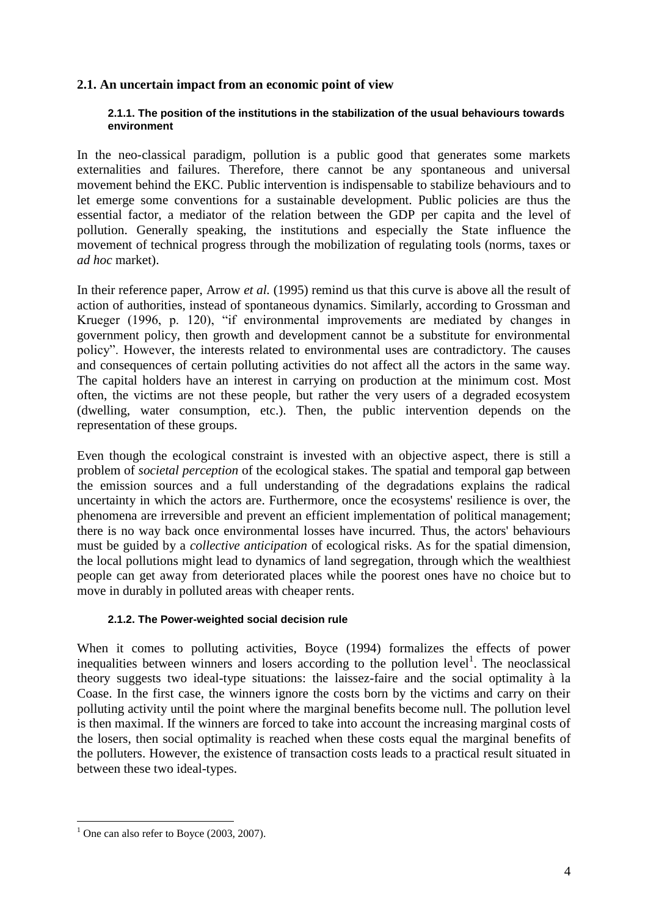## **2.1. An uncertain impact from an economic point of view**

#### **2.1.1. The position of the institutions in the stabilization of the usual behaviours towards environment**

In the neo-classical paradigm, pollution is a public good that generates some markets externalities and failures. Therefore, there cannot be any spontaneous and universal movement behind the EKC. Public intervention is indispensable to stabilize behaviours and to let emerge some conventions for a sustainable development. Public policies are thus the essential factor, a mediator of the relation between the GDP per capita and the level of pollution. Generally speaking, the institutions and especially the State influence the movement of technical progress through the mobilization of regulating tools (norms, taxes or *ad hoc* market).

In their reference paper, Arrow *et al.* (1995) remind us that this curve is above all the result of action of authorities, instead of spontaneous dynamics. Similarly, according to Grossman and Krueger (1996, p. 120), "if environmental improvements are mediated by changes in government policy, then growth and development cannot be a substitute for environmental policy". However, the interests related to environmental uses are contradictory. The causes and consequences of certain polluting activities do not affect all the actors in the same way. The capital holders have an interest in carrying on production at the minimum cost. Most often, the victims are not these people, but rather the very users of a degraded ecosystem (dwelling, water consumption, etc.). Then, the public intervention depends on the representation of these groups.

Even though the ecological constraint is invested with an objective aspect, there is still a problem of *societal perception* of the ecological stakes. The spatial and temporal gap between the emission sources and a full understanding of the degradations explains the radical uncertainty in which the actors are. Furthermore, once the ecosystems' resilience is over, the phenomena are irreversible and prevent an efficient implementation of political management; there is no way back once environmental losses have incurred. Thus, the actors' behaviours must be guided by a *collective anticipation* of ecological risks. As for the spatial dimension, the local pollutions might lead to dynamics of land segregation, through which the wealthiest people can get away from deteriorated places while the poorest ones have no choice but to move in durably in polluted areas with cheaper rents.

#### **2.1.2. The Power-weighted social decision rule**

When it comes to polluting activities, Boyce (1994) formalizes the effects of power inequalities between winners and losers according to the pollution level<sup>1</sup>. The neoclassical theory suggests two ideal-type situations: the laissez-faire and the social optimality à la Coase. In the first case, the winners ignore the costs born by the victims and carry on their polluting activity until the point where the marginal benefits become null. The pollution level is then maximal. If the winners are forced to take into account the increasing marginal costs of the losers, then social optimality is reached when these costs equal the marginal benefits of the polluters. However, the existence of transaction costs leads to a practical result situated in between these two ideal-types.

<sup>&</sup>lt;u>.</u>  $<sup>1</sup>$  One can also refer to Boyce (2003, 2007).</sup>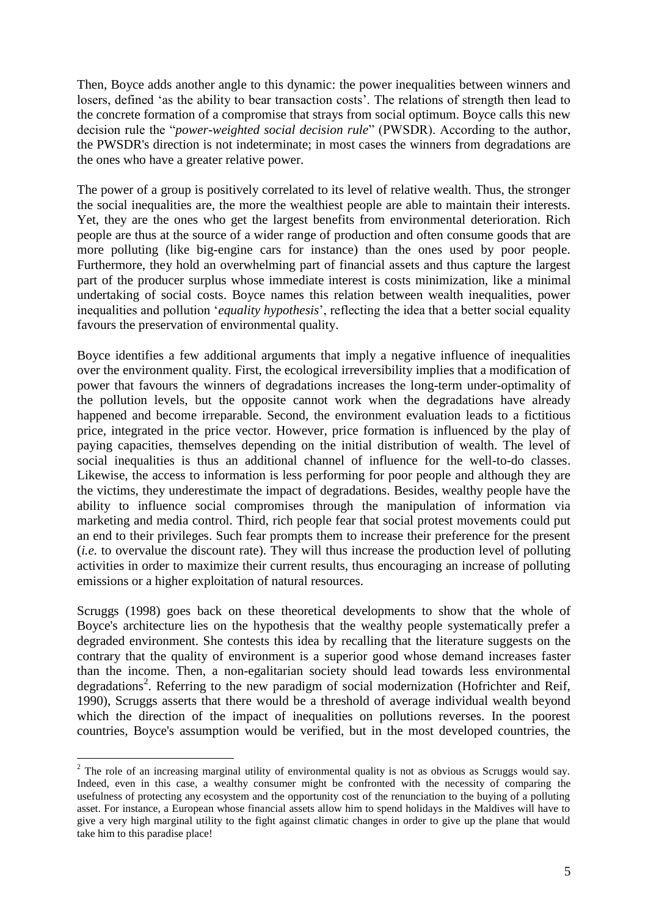Then, Boyce adds another angle to this dynamic: the power inequalities between winners and losers, defined 'as the ability to bear transaction costs'. The relations of strength then lead to the concrete formation of a compromise that strays from social optimum. Boyce calls this new decision rule the "*power-weighted social decision rule*" (PWSDR). According to the author, the PWSDR's direction is not indeterminate; in most cases the winners from degradations are the ones who have a greater relative power.

The power of a group is positively correlated to its level of relative wealth. Thus, the stronger the social inequalities are, the more the wealthiest people are able to maintain their interests. Yet, they are the ones who get the largest benefits from environmental deterioration. Rich people are thus at the source of a wider range of production and often consume goods that are more polluting (like big-engine cars for instance) than the ones used by poor people. Furthermore, they hold an overwhelming part of financial assets and thus capture the largest part of the producer surplus whose immediate interest is costs minimization, like a minimal undertaking of social costs. Boyce names this relation between wealth inequalities, power inequalities and pollution "*equality hypothesis*", reflecting the idea that a better social equality favours the preservation of environmental quality.

Boyce identifies a few additional arguments that imply a negative influence of inequalities over the environment quality. First, the ecological irreversibility implies that a modification of power that favours the winners of degradations increases the long-term under-optimality of the pollution levels, but the opposite cannot work when the degradations have already happened and become irreparable. Second, the environment evaluation leads to a fictitious price, integrated in the price vector. However, price formation is influenced by the play of paying capacities, themselves depending on the initial distribution of wealth. The level of social inequalities is thus an additional channel of influence for the well-to-do classes. Likewise, the access to information is less performing for poor people and although they are the victims, they underestimate the impact of degradations. Besides, wealthy people have the ability to influence social compromises through the manipulation of information via marketing and media control. Third, rich people fear that social protest movements could put an end to their privileges. Such fear prompts them to increase their preference for the present (*i.e.* to overvalue the discount rate). They will thus increase the production level of polluting activities in order to maximize their current results, thus encouraging an increase of polluting emissions or a higher exploitation of natural resources.

Scruggs (1998) goes back on these theoretical developments to show that the whole of Boyce's architecture lies on the hypothesis that the wealthy people systematically prefer a degraded environment. She contests this idea by recalling that the literature suggests on the contrary that the quality of environment is a superior good whose demand increases faster than the income. Then, a non-egalitarian society should lead towards less environmental degradations<sup>2</sup>. Referring to the new paradigm of social modernization (Hofrichter and Reif, 1990), Scruggs asserts that there would be a threshold of average individual wealth beyond which the direction of the impact of inequalities on pollutions reverses. In the poorest countries, Boyce's assumption would be verified, but in the most developed countries, the

1

<sup>&</sup>lt;sup>2</sup> The role of an increasing marginal utility of environmental quality is not as obvious as Scruggs would say. Indeed, even in this case, a wealthy consumer might be confronted with the necessity of comparing the usefulness of protecting any ecosystem and the opportunity cost of the renunciation to the buying of a polluting asset. For instance, a European whose financial assets allow him to spend holidays in the Maldives will have to give a very high marginal utility to the fight against climatic changes in order to give up the plane that would take him to this paradise place!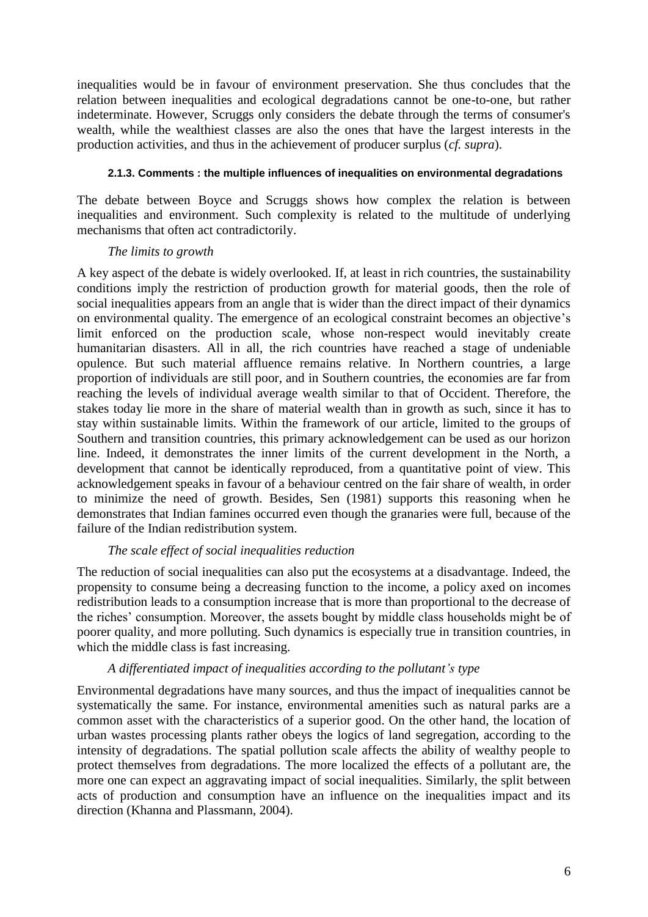inequalities would be in favour of environment preservation. She thus concludes that the relation between inequalities and ecological degradations cannot be one-to-one, but rather indeterminate. However, Scruggs only considers the debate through the terms of consumer's wealth, while the wealthiest classes are also the ones that have the largest interests in the production activities, and thus in the achievement of producer surplus (*cf. supra*).

#### **2.1.3. Comments : the multiple influences of inequalities on environmental degradations**

The debate between Boyce and Scruggs shows how complex the relation is between inequalities and environment. Such complexity is related to the multitude of underlying mechanisms that often act contradictorily.

#### *The limits to growth*

A key aspect of the debate is widely overlooked. If, at least in rich countries, the sustainability conditions imply the restriction of production growth for material goods, then the role of social inequalities appears from an angle that is wider than the direct impact of their dynamics on environmental quality. The emergence of an ecological constraint becomes an objective"s limit enforced on the production scale, whose non-respect would inevitably create humanitarian disasters. All in all, the rich countries have reached a stage of undeniable opulence. But such material affluence remains relative. In Northern countries, a large proportion of individuals are still poor, and in Southern countries, the economies are far from reaching the levels of individual average wealth similar to that of Occident. Therefore, the stakes today lie more in the share of material wealth than in growth as such, since it has to stay within sustainable limits. Within the framework of our article, limited to the groups of Southern and transition countries, this primary acknowledgement can be used as our horizon line. Indeed, it demonstrates the inner limits of the current development in the North, a development that cannot be identically reproduced, from a quantitative point of view. This acknowledgement speaks in favour of a behaviour centred on the fair share of wealth, in order to minimize the need of growth. Besides, Sen (1981) supports this reasoning when he demonstrates that Indian famines occurred even though the granaries were full, because of the failure of the Indian redistribution system.

# *The scale effect of social inequalities reduction*

The reduction of social inequalities can also put the ecosystems at a disadvantage. Indeed, the propensity to consume being a decreasing function to the income, a policy axed on incomes redistribution leads to a consumption increase that is more than proportional to the decrease of the riches" consumption. Moreover, the assets bought by middle class households might be of poorer quality, and more polluting. Such dynamics is especially true in transition countries, in which the middle class is fast increasing.

#### *A differentiated impact of inequalities according to the pollutant's type*

Environmental degradations have many sources, and thus the impact of inequalities cannot be systematically the same. For instance, environmental amenities such as natural parks are a common asset with the characteristics of a superior good. On the other hand, the location of urban wastes processing plants rather obeys the logics of land segregation, according to the intensity of degradations. The spatial pollution scale affects the ability of wealthy people to protect themselves from degradations. The more localized the effects of a pollutant are, the more one can expect an aggravating impact of social inequalities. Similarly, the split between acts of production and consumption have an influence on the inequalities impact and its direction (Khanna and Plassmann, 2004).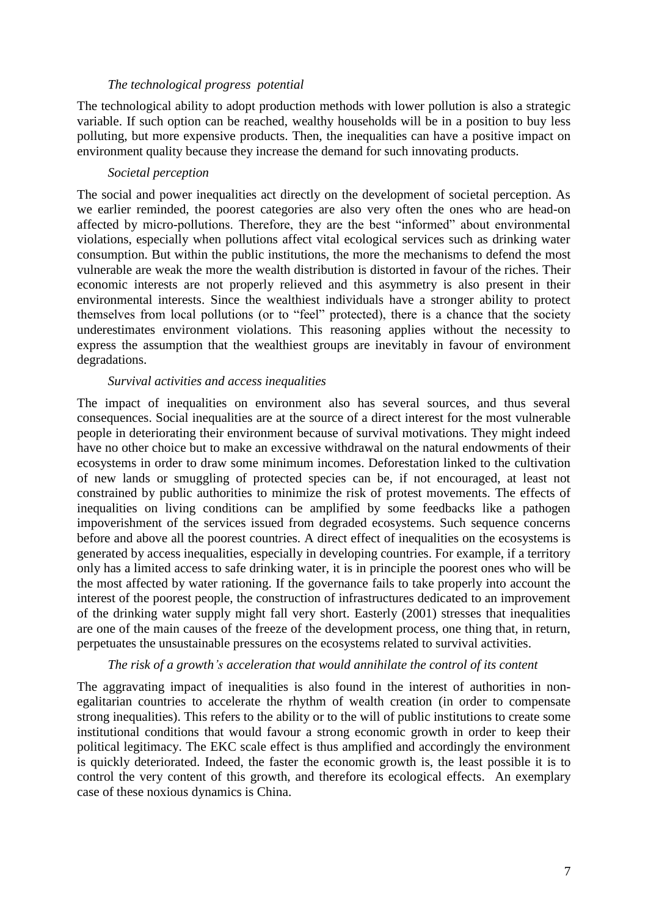#### *The technological progress potential*

The technological ability to adopt production methods with lower pollution is also a strategic variable. If such option can be reached, wealthy households will be in a position to buy less polluting, but more expensive products. Then, the inequalities can have a positive impact on environment quality because they increase the demand for such innovating products.

#### *Societal perception*

The social and power inequalities act directly on the development of societal perception. As we earlier reminded, the poorest categories are also very often the ones who are head-on affected by micro-pollutions. Therefore, they are the best "informed" about environmental violations, especially when pollutions affect vital ecological services such as drinking water consumption. But within the public institutions, the more the mechanisms to defend the most vulnerable are weak the more the wealth distribution is distorted in favour of the riches. Their economic interests are not properly relieved and this asymmetry is also present in their environmental interests. Since the wealthiest individuals have a stronger ability to protect themselves from local pollutions (or to "feel" protected), there is a chance that the society underestimates environment violations. This reasoning applies without the necessity to express the assumption that the wealthiest groups are inevitably in favour of environment degradations.

#### *Survival activities and access inequalities*

The impact of inequalities on environment also has several sources, and thus several consequences. Social inequalities are at the source of a direct interest for the most vulnerable people in deteriorating their environment because of survival motivations. They might indeed have no other choice but to make an excessive withdrawal on the natural endowments of their ecosystems in order to draw some minimum incomes. Deforestation linked to the cultivation of new lands or smuggling of protected species can be, if not encouraged, at least not constrained by public authorities to minimize the risk of protest movements. The effects of inequalities on living conditions can be amplified by some feedbacks like a pathogen impoverishment of the services issued from degraded ecosystems. Such sequence concerns before and above all the poorest countries. A direct effect of inequalities on the ecosystems is generated by access inequalities, especially in developing countries. For example, if a territory only has a limited access to safe drinking water, it is in principle the poorest ones who will be the most affected by water rationing. If the governance fails to take properly into account the interest of the poorest people, the construction of infrastructures dedicated to an improvement of the drinking water supply might fall very short. Easterly (2001) stresses that inequalities are one of the main causes of the freeze of the development process, one thing that, in return, perpetuates the unsustainable pressures on the ecosystems related to survival activities.

#### *The risk of a growth's acceleration that would annihilate the control of its content*

The aggravating impact of inequalities is also found in the interest of authorities in nonegalitarian countries to accelerate the rhythm of wealth creation (in order to compensate strong inequalities). This refers to the ability or to the will of public institutions to create some institutional conditions that would favour a strong economic growth in order to keep their political legitimacy. The EKC scale effect is thus amplified and accordingly the environment is quickly deteriorated. Indeed, the faster the economic growth is, the least possible it is to control the very content of this growth, and therefore its ecological effects. An exemplary case of these noxious dynamics is China.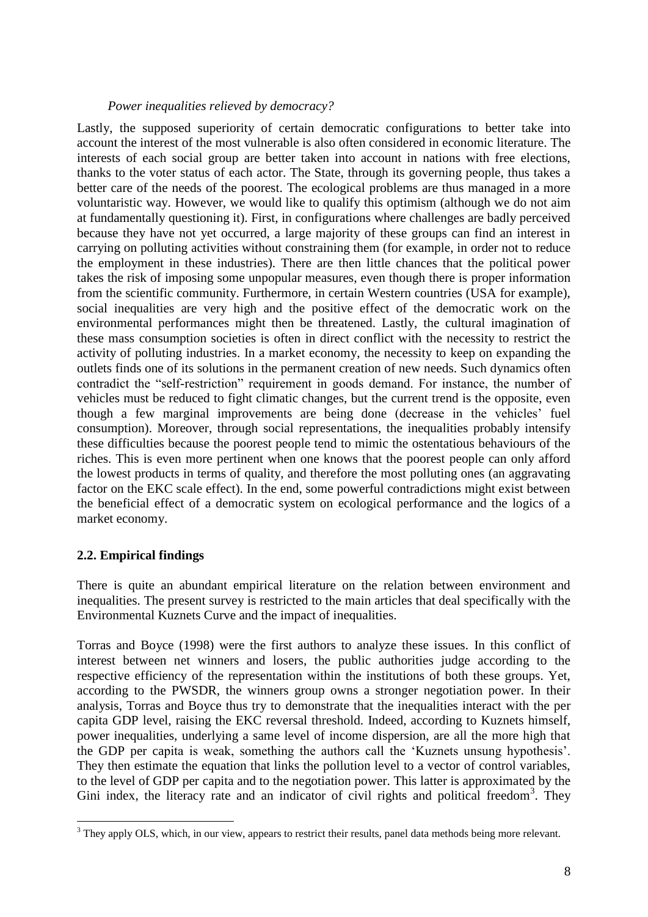#### *Power inequalities relieved by democracy?*

Lastly, the supposed superiority of certain democratic configurations to better take into account the interest of the most vulnerable is also often considered in economic literature. The interests of each social group are better taken into account in nations with free elections, thanks to the voter status of each actor. The State, through its governing people, thus takes a better care of the needs of the poorest. The ecological problems are thus managed in a more voluntaristic way. However, we would like to qualify this optimism (although we do not aim at fundamentally questioning it). First, in configurations where challenges are badly perceived because they have not yet occurred, a large majority of these groups can find an interest in carrying on polluting activities without constraining them (for example, in order not to reduce the employment in these industries). There are then little chances that the political power takes the risk of imposing some unpopular measures, even though there is proper information from the scientific community. Furthermore, in certain Western countries (USA for example), social inequalities are very high and the positive effect of the democratic work on the environmental performances might then be threatened. Lastly, the cultural imagination of these mass consumption societies is often in direct conflict with the necessity to restrict the activity of polluting industries. In a market economy, the necessity to keep on expanding the outlets finds one of its solutions in the permanent creation of new needs. Such dynamics often contradict the "self-restriction" requirement in goods demand. For instance, the number of vehicles must be reduced to fight climatic changes, but the current trend is the opposite, even though a few marginal improvements are being done (decrease in the vehicles" fuel consumption). Moreover, through social representations, the inequalities probably intensify these difficulties because the poorest people tend to mimic the ostentatious behaviours of the riches. This is even more pertinent when one knows that the poorest people can only afford the lowest products in terms of quality, and therefore the most polluting ones (an aggravating factor on the EKC scale effect). In the end, some powerful contradictions might exist between the beneficial effect of a democratic system on ecological performance and the logics of a market economy.

#### **2.2. Empirical findings**

<u>.</u>

There is quite an abundant empirical literature on the relation between environment and inequalities. The present survey is restricted to the main articles that deal specifically with the Environmental Kuznets Curve and the impact of inequalities.

Torras and Boyce (1998) were the first authors to analyze these issues. In this conflict of interest between net winners and losers, the public authorities judge according to the respective efficiency of the representation within the institutions of both these groups. Yet, according to the PWSDR, the winners group owns a stronger negotiation power. In their analysis, Torras and Boyce thus try to demonstrate that the inequalities interact with the per capita GDP level, raising the EKC reversal threshold. Indeed, according to Kuznets himself, power inequalities, underlying a same level of income dispersion, are all the more high that the GDP per capita is weak, something the authors call the "Kuznets unsung hypothesis". They then estimate the equation that links the pollution level to a vector of control variables, to the level of GDP per capita and to the negotiation power. This latter is approximated by the Gini index, the literacy rate and an indicator of civil rights and political freedom<sup>3</sup>. They

 $3$  They apply OLS, which, in our view, appears to restrict their results, panel data methods being more relevant.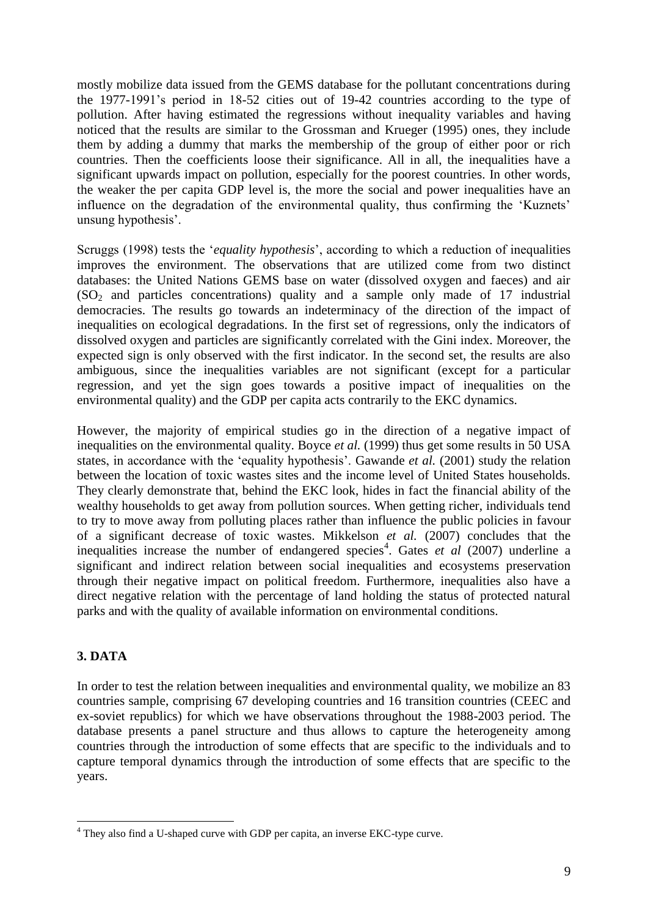mostly mobilize data issued from the GEMS database for the pollutant concentrations during the 1977-1991"s period in 18-52 cities out of 19-42 countries according to the type of pollution. After having estimated the regressions without inequality variables and having noticed that the results are similar to the Grossman and Krueger (1995) ones, they include them by adding a dummy that marks the membership of the group of either poor or rich countries. Then the coefficients loose their significance. All in all, the inequalities have a significant upwards impact on pollution, especially for the poorest countries. In other words, the weaker the per capita GDP level is, the more the social and power inequalities have an influence on the degradation of the environmental quality, thus confirming the "Kuznets" unsung hypothesis'.

Scruggs (1998) tests the "*equality hypothesis*", according to which a reduction of inequalities improves the environment. The observations that are utilized come from two distinct databases: the United Nations GEMS base on water (dissolved oxygen and faeces) and air  $(SO<sub>2</sub>$  and particles concentrations) quality and a sample only made of 17 industrial democracies. The results go towards an indeterminacy of the direction of the impact of inequalities on ecological degradations. In the first set of regressions, only the indicators of dissolved oxygen and particles are significantly correlated with the Gini index. Moreover, the expected sign is only observed with the first indicator. In the second set, the results are also ambiguous, since the inequalities variables are not significant (except for a particular regression, and yet the sign goes towards a positive impact of inequalities on the environmental quality) and the GDP per capita acts contrarily to the EKC dynamics.

However, the majority of empirical studies go in the direction of a negative impact of inequalities on the environmental quality. Boyce *et al.* (1999) thus get some results in 50 USA states, in accordance with the 'equality hypothesis'. Gawande *et al.* (2001) study the relation between the location of toxic wastes sites and the income level of United States households. They clearly demonstrate that, behind the EKC look, hides in fact the financial ability of the wealthy households to get away from pollution sources. When getting richer, individuals tend to try to move away from polluting places rather than influence the public policies in favour of a significant decrease of toxic wastes. Mikkelson *et al.* (2007) concludes that the inequalities increase the number of endangered species<sup>4</sup>. Gates *et al* (2007) underline a significant and indirect relation between social inequalities and ecosystems preservation through their negative impact on political freedom. Furthermore, inequalities also have a direct negative relation with the percentage of land holding the status of protected natural parks and with the quality of available information on environmental conditions.

# **3. DATA**

<u>.</u>

In order to test the relation between inequalities and environmental quality, we mobilize an 83 countries sample, comprising 67 developing countries and 16 transition countries (CEEC and ex-soviet republics) for which we have observations throughout the 1988-2003 period. The database presents a panel structure and thus allows to capture the heterogeneity among countries through the introduction of some effects that are specific to the individuals and to capture temporal dynamics through the introduction of some effects that are specific to the years.

<sup>&</sup>lt;sup>4</sup> They also find a U-shaped curve with GDP per capita, an inverse EKC-type curve.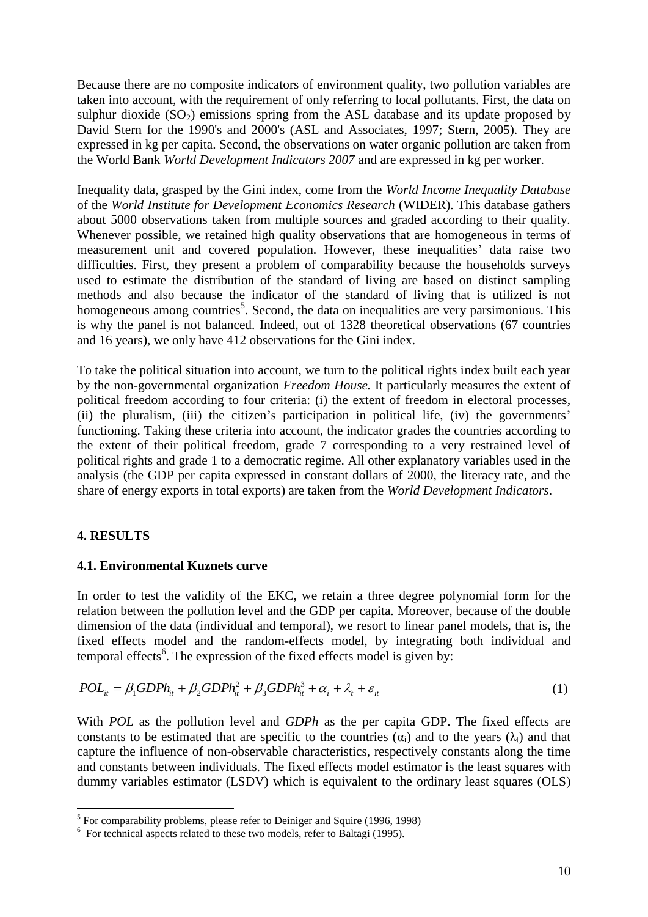Because there are no composite indicators of environment quality, two pollution variables are taken into account, with the requirement of only referring to local pollutants. First, the data on sulphur dioxide  $(SO<sub>2</sub>)$  emissions spring from the ASL database and its update proposed by David Stern for the 1990's and 2000's (ASL and Associates, 1997; Stern, 2005). They are expressed in kg per capita. Second, the observations on water organic pollution are taken from the World Bank *World Development Indicators 2007* and are expressed in kg per worker.

Inequality data, grasped by the Gini index, come from the *World Income Inequality Database* of the *World Institute for Development Economics Research* (WIDER). This database gathers about 5000 observations taken from multiple sources and graded according to their quality. Whenever possible, we retained high quality observations that are homogeneous in terms of measurement unit and covered population. However, these inequalities" data raise two difficulties. First, they present a problem of comparability because the households surveys used to estimate the distribution of the standard of living are based on distinct sampling methods and also because the indicator of the standard of living that is utilized is not homogeneous among countries<sup>5</sup>. Second, the data on inequalities are very parsimonious. This is why the panel is not balanced. Indeed, out of 1328 theoretical observations (67 countries and 16 years), we only have 412 observations for the Gini index.

To take the political situation into account, we turn to the political rights index built each year by the non-governmental organization *Freedom House.* It particularly measures the extent of political freedom according to four criteria: (i) the extent of freedom in electoral processes, (ii) the pluralism, (iii) the citizen's participation in political life, (iv) the governments' functioning. Taking these criteria into account, the indicator grades the countries according to the extent of their political freedom, grade 7 corresponding to a very restrained level of political rights and grade 1 to a democratic regime. All other explanatory variables used in the analysis (the GDP per capita expressed in constant dollars of 2000, the literacy rate, and the share of energy exports in total exports) are taken from the *World Development Indicators*.

# **4. RESULTS**

<u>.</u>

#### **4.1. Environmental Kuznets curve**

In order to test the validity of the EKC, we retain a three degree polynomial form for the relation between the pollution level and the GDP per capita. Moreover, because of the double dimension of the data (individual and temporal), we resort to linear panel models, that is, the fixed effects model and the random-effects model, by integrating both individual and temporal effects<sup>6</sup>. The expression of the fixed effects model is given by:

$$
POL_{it} = \beta_1 GDPh_{it} + \beta_2 GDPh_{it}^2 + \beta_3 GDPh_{it}^3 + \alpha_i + \lambda_t + \varepsilon_{it}
$$
\n(1)

With *POL* as the pollution level and *GDPh* as the per capita GDP. The fixed effects are constants to be estimated that are specific to the countries  $(\alpha_i)$  and to the years  $(\lambda_i)$  and that capture the influence of non-observable characteristics, respectively constants along the time and constants between individuals. The fixed effects model estimator is the least squares with dummy variables estimator (LSDV) which is equivalent to the ordinary least squares (OLS)

<sup>&</sup>lt;sup>5</sup> For comparability problems, please refer to Deiniger and Squire (1996, 1998)

<sup>&</sup>lt;sup>6</sup> For technical aspects related to these two models, refer to Baltagi (1995).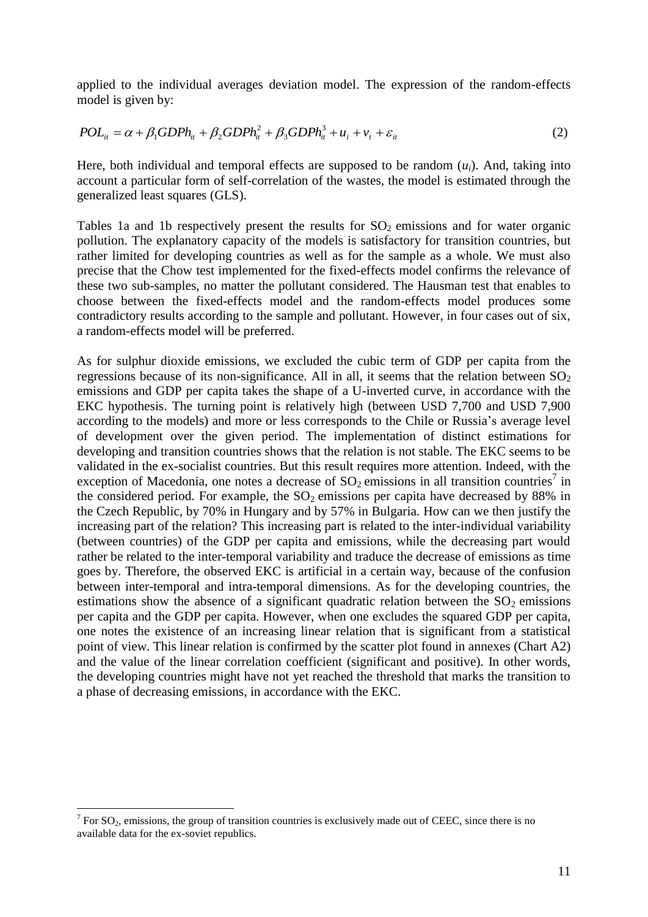applied to the individual averages deviation model. The expression of the random-effects model is given by:

$$
POLit = \alpha + \beta_1 GDPhit + \beta_2 GDPhit2 + \beta_3 GDPhit3 + ui + vt + \varepsilonit
$$
 (2)

Here, both individual and temporal effects are supposed to be random  $(u_i)$ . And, taking into account a particular form of self-correlation of the wastes, the model is estimated through the generalized least squares (GLS).

Tables 1a and 1b respectively present the results for  $SO<sub>2</sub>$  emissions and for water organic pollution. The explanatory capacity of the models is satisfactory for transition countries, but rather limited for developing countries as well as for the sample as a whole. We must also precise that the Chow test implemented for the fixed-effects model confirms the relevance of these two sub-samples, no matter the pollutant considered. The Hausman test that enables to choose between the fixed-effects model and the random-effects model produces some contradictory results according to the sample and pollutant. However, in four cases out of six, a random-effects model will be preferred.

As for sulphur dioxide emissions, we excluded the cubic term of GDP per capita from the regressions because of its non-significance. All in all, it seems that the relation between  $SO<sub>2</sub>$ emissions and GDP per capita takes the shape of a U-inverted curve, in accordance with the EKC hypothesis. The turning point is relatively high (between USD 7,700 and USD 7,900 according to the models) and more or less corresponds to the Chile or Russia's average level of development over the given period. The implementation of distinct estimations for developing and transition countries shows that the relation is not stable. The EKC seems to be validated in the ex-socialist countries. But this result requires more attention. Indeed, with the exception of Macedonia, one notes a decrease of  $SO_2$  emissions in all transition countries<sup>7</sup> in the considered period. For example, the  $SO_2$  emissions per capita have decreased by 88% in the Czech Republic, by 70% in Hungary and by 57% in Bulgaria. How can we then justify the increasing part of the relation? This increasing part is related to the inter-individual variability (between countries) of the GDP per capita and emissions, while the decreasing part would rather be related to the inter-temporal variability and traduce the decrease of emissions as time goes by. Therefore, the observed EKC is artificial in a certain way, because of the confusion between inter-temporal and intra-temporal dimensions. As for the developing countries, the estimations show the absence of a significant quadratic relation between the  $SO<sub>2</sub>$  emissions per capita and the GDP per capita. However, when one excludes the squared GDP per capita, one notes the existence of an increasing linear relation that is significant from a statistical point of view. This linear relation is confirmed by the scatter plot found in annexes (Chart A2) and the value of the linear correlation coefficient (significant and positive). In other words, the developing countries might have not yet reached the threshold that marks the transition to a phase of decreasing emissions, in accordance with the EKC.

<u>.</u>

<sup>&</sup>lt;sup>7</sup> For  $SO_2$ , emissions, the group of transition countries is exclusively made out of CEEC, since there is no available data for the ex-soviet republics.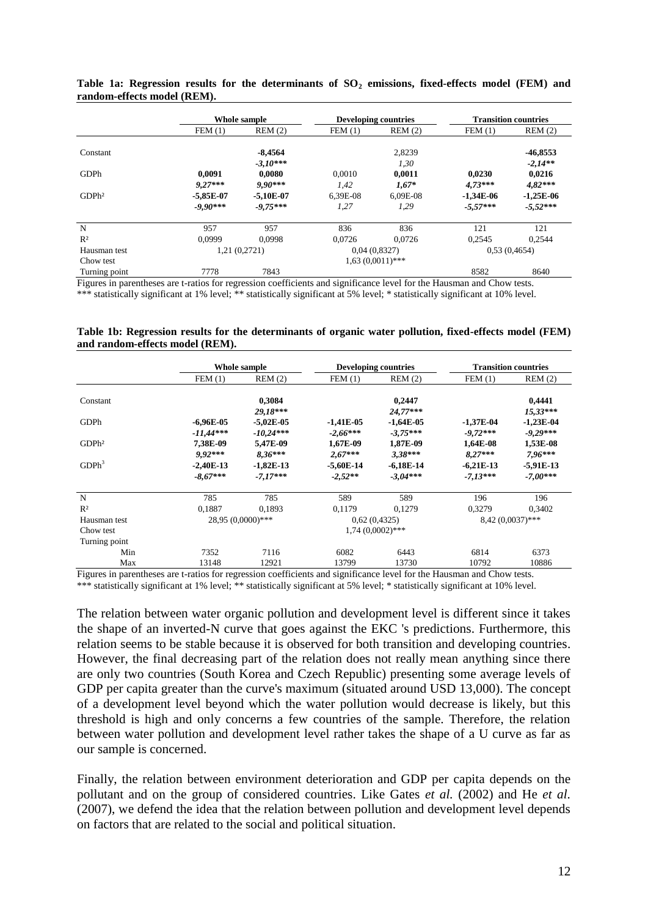|                   |             | Whole sample  |              | <b>Developing countries</b> |             | <b>Transition countries</b> |  |
|-------------------|-------------|---------------|--------------|-----------------------------|-------------|-----------------------------|--|
|                   | FEM(1)      | REM(2)        | FEM(1)       | REM(2)                      | FEM(1)      | REM(2)                      |  |
| Constant          |             | $-8,4564$     |              | 2,8239                      |             | $-46,8553$                  |  |
|                   |             | $-3.10***$    |              | 1,30                        |             | $-2.14**$                   |  |
| GDPh              | 0.0091      | 0.0080        | 0.0010       | 0.0011                      | 0.0230      | 0,0216                      |  |
|                   | $9.27***$   | $9.90***$     | 1,42         | $1,67*$                     | $4,73***$   | $4.82***$                   |  |
| GDPh <sup>2</sup> | $-5.85E-07$ | $-5,10E-07$   | 6,39E-08     | 6,09E-08                    | $-1.34E-06$ | $-1,25E-06$                 |  |
|                   | $-9.90***$  | $-9.75***$    | 1,27         | 1,29                        | $-5.57***$  | $-5,52***$                  |  |
| N                 | 957         | 957           | 836          | 836                         | 121         | 121                         |  |
| R <sup>2</sup>    | 0.0999      | 0.0998        | 0.0726       | 0.0726                      | 0.2545      | 0.2544                      |  |
| Hausman test      |             | 1,21 (0,2721) | 0.04(0.8327) |                             |             | 0.53(0.4654)                |  |
| Chow test         |             |               |              | $1,63(0,0011)$ ***          |             |                             |  |
| Turning point     | 7778        | 7843          |              |                             | 8582        | 8640                        |  |

**Table 1a: Regression results for the determinants of SO<sup>2</sup> emissions, fixed-effects model (FEM) and random-effects model (REM).**

Figures in parentheses are t-ratios for regression coefficients and significance level for the Hausman and Chow tests. \*\*\* statistically significant at 1% level; \*\* statistically significant at 5% level; \* statistically significant at 10% level.

| Table 1b: Regression results for the determinants of organic water pollution, fixed-effects model (FEM) |  |  |  |  |
|---------------------------------------------------------------------------------------------------------|--|--|--|--|
| and random-effects model (REM).                                                                         |  |  |  |  |

|                   | Whole sample |                     |              | <b>Developing countries</b> |                    | <b>Transition countries</b> |  |
|-------------------|--------------|---------------------|--------------|-----------------------------|--------------------|-----------------------------|--|
|                   | FEM(1)       | REM(2)              | FEM(1)       | REM(2)                      | FEM(1)             | REM(2)                      |  |
| Constant          |              | 0,3084              |              | 0,2447                      |                    | 0.4441                      |  |
|                   |              | 29,18***            |              | 24,77***                    |                    | $15,33***$                  |  |
| GDPh              | $-6,96E-05$  | $-5,02E-05$         | $-1,41E-05$  | $-1,64E-05$                 | $-1,37E-04$        | $-1,23E-04$                 |  |
|                   | $-11,44***$  | $-10,24***$         | $-2.66***$   | $-3.75***$                  | $-9.72***$         | $-9.29***$                  |  |
| GDPh <sup>2</sup> | 7,38E-09     | 5,47E-09            | 1,67E-09     | 1,87E-09                    | 1,64E-08           | 1,53E-08                    |  |
|                   | $9.92***$    | $8.36***$           | $2,67***$    | $3.38***$                   | $8,27***$          | $7,96***$                   |  |
| GDPh <sup>3</sup> | $-2,40E-13$  | $-1,82E-13$         | $-5,60E-14$  | $-6,18E-14$                 | $-6,21E-13$        | $-5,91E-13$                 |  |
|                   | $-8,67***$   | $-7,17***$          | $-2,52**$    | $-3,04***$                  | $-7.13***$         | $-7,00***$                  |  |
| N                 | 785          | 785                 | 589          | 589                         | 196                | 196                         |  |
| R <sup>2</sup>    | 0.1887       | 0.1893              | 0.1179       | 0.1279                      | 0,3279             | 0.3402                      |  |
| Hausman test      |              | $28,95(0,0000)$ *** | 0.62(0.4325) |                             | $8,42(0,0037)$ *** |                             |  |
| Chow test         |              |                     |              | $1,74$ (0,0002)***          |                    |                             |  |
| Turning point     |              |                     |              |                             |                    |                             |  |
| Min               | 7352         | 7116                | 6082         | 6443                        | 6814               | 6373                        |  |
| Max               | 13148        | 12921               | 13799        | 13730                       | 10792              | 10886                       |  |

Figures in parentheses are t-ratios for regression coefficients and significance level for the Hausman and Chow tests. \*\*\* statistically significant at 1% level; \*\* statistically significant at 5% level; \* statistically significant at 10% level.

The relation between water organic pollution and development level is different since it takes the shape of an inverted-N curve that goes against the EKC 's predictions. Furthermore, this relation seems to be stable because it is observed for both transition and developing countries. However, the final decreasing part of the relation does not really mean anything since there are only two countries (South Korea and Czech Republic) presenting some average levels of GDP per capita greater than the curve's maximum (situated around USD 13,000). The concept of a development level beyond which the water pollution would decrease is likely, but this threshold is high and only concerns a few countries of the sample. Therefore, the relation between water pollution and development level rather takes the shape of a U curve as far as our sample is concerned.

Finally, the relation between environment deterioration and GDP per capita depends on the pollutant and on the group of considered countries. Like Gates *et al.* (2002) and He *et al.* (2007), we defend the idea that the relation between pollution and development level depends on factors that are related to the social and political situation.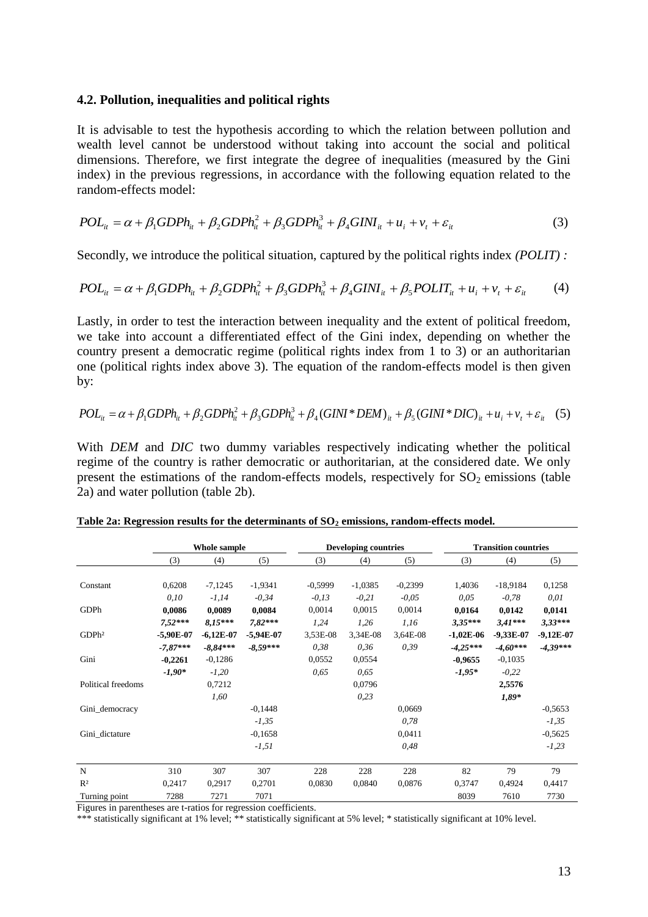#### **4.2. Pollution, inequalities and political rights**

It is advisable to test the hypothesis according to which the relation between pollution and wealth level cannot be understood without taking into account the social and political dimensions. Therefore, we first integrate the degree of inequalities (measured by the Gini index) in the previous regressions, in accordance with the following equation related to the random-effects model:

$$
POL_{it} = \alpha + \beta_1 GDPh_{it} + \beta_2 GDPh_{it}^2 + \beta_3 GDPh_{it}^3 + \beta_4 GINI_{it} + u_i + v_t + \varepsilon_{it}
$$
\n(3)

Secondly, we introduce the political situation, captured by the political rights index *(POLIT) :*

$$
POL_{it} = \alpha + \beta_1 GDPh_{it} + \beta_2 GDPh_{it}^2 + \beta_3 GDPh_{it}^3 + \beta_4 GINI_{it} + \beta_5 POLIT_{it} + u_i + v_t + \varepsilon_{it}
$$
 (4)

Lastly, in order to test the interaction between inequality and the extent of political freedom, we take into account a differentiated effect of the Gini index, depending on whether the country present a democratic regime (political rights index from 1 to 3) or an authoritarian one (political rights index above 3). The equation of the random-effects model is then given by:

$$
POL_{it} = \alpha + \beta_1 GDPh_{it} + \beta_2 GDPh_{it}^2 + \beta_3 GDPh_{it}^3 + \beta_4 (GINI * DEM)_{it} + \beta_5 (GINI * DIC)_{it} + u_i + v_t + \varepsilon_{it} \quad (5)
$$

With *DEM* and *DIC* two dummy variables respectively indicating whether the political regime of the country is rather democratic or authoritarian, at the considered date. We only present the estimations of the random-effects models, respectively for  $SO_2$  emissions (table 2a) and water pollution (table 2b).

|                    | Whole sample |             |             | <b>Developing countries</b> |           |           | <b>Transition countries</b> |             |             |
|--------------------|--------------|-------------|-------------|-----------------------------|-----------|-----------|-----------------------------|-------------|-------------|
|                    | (3)          | (4)         | (5)         | (3)                         | (4)       | (5)       | (3)                         | (4)         | (5)         |
|                    |              |             |             |                             |           |           |                             |             |             |
| Constant           | 0,6208       | $-7,1245$   | $-1,9341$   | $-0,5999$                   | $-1,0385$ | $-0,2399$ | 1,4036                      | $-18,9184$  | 0,1258      |
|                    | 0,10         | $-1,14$     | $-0,34$     | $-0.13$                     | $-0,21$   | $-0.05$   | 0.05                        | $-0,78$     | 0,01        |
| GDPh               | 0,0086       | 0,0089      | 0,0084      | 0,0014                      | 0,0015    | 0,0014    | 0,0164                      | 0,0142      | 0,0141      |
|                    | $7.52***$    | $8.15***$   | $7.82***$   | 1,24                        | 1,26      | 1,16      | $3,35***$                   | $3.41***$   | $3.33***$   |
| GDPh <sup>2</sup>  | $-5,90E-07$  | $-6,12E-07$ | $-5,94E-07$ | 3,53E-08                    | 3,34E-08  | 3,64E-08  | $-1,02E-06$                 | $-9,33E-07$ | $-9,12E-07$ |
|                    | $-7,87***$   | $-8,84***$  | $-8,59***$  | 0,38                        | 0,36      | 0.39      | $-4.25***$                  | $-4,60***$  | $-4,39***$  |
| Gini               | $-0,2261$    | $-0,1286$   |             | 0.0552                      | 0,0554    |           | $-0,9655$                   | $-0,1035$   |             |
|                    | $-1,90*$     | $-1,20$     |             | 0,65                        | 0,65      |           | $-1,95*$                    | $-0,22$     |             |
| Political freedoms |              | 0,7212      |             |                             | 0,0796    |           |                             | 2,5576      |             |
|                    |              | 1,60        |             |                             | 0,23      |           |                             | $1,89*$     |             |
| Gini_democracy     |              |             | $-0,1448$   |                             |           | 0,0669    |                             |             | $-0,5653$   |
|                    |              |             | $-1,35$     |                             |           | 0.78      |                             |             | $-1,35$     |
| Gini dictature     |              |             | $-0,1658$   |                             |           | 0,0411    |                             |             | $-0,5625$   |
|                    |              |             | $-1,51$     |                             |           | 0,48      |                             |             | $-1,23$     |
|                    |              |             |             |                             |           |           |                             |             |             |
| N                  | 310          | 307         | 307         | 228                         | 228       | 228       | 82                          | 79          | 79          |
| R <sup>2</sup>     | 0,2417       | 0,2917      | 0,2701      | 0,0830                      | 0,0840    | 0,0876    | 0,3747                      | 0,4924      | 0,4417      |
| Turning point      | 7288         | 7271        | 7071        |                             |           |           | 8039                        | 7610        | 7730        |

**Table 2a: Regression results for the determinants of SO<sup>2</sup> emissions, random-effects model.**

Figures in parentheses are t-ratios for regression coefficients.

\*\*\* statistically significant at 1% level; \*\* statistically significant at 5% level; \* statistically significant at 10% level.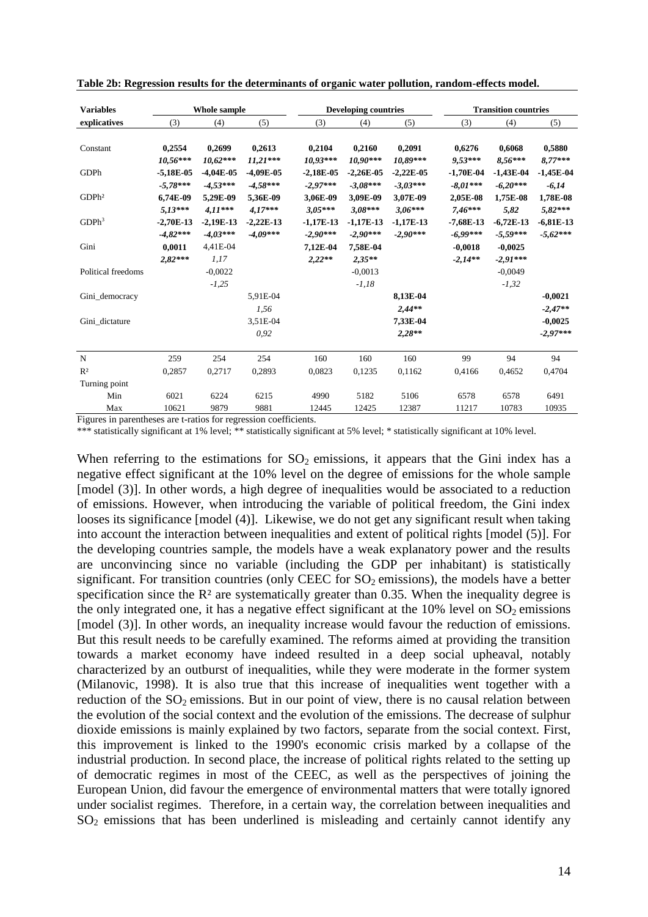| <b>Variables</b>   | Whole sample |             |             |             | <b>Developing countries</b> |             |             | <b>Transition countries</b> |             |  |
|--------------------|--------------|-------------|-------------|-------------|-----------------------------|-------------|-------------|-----------------------------|-------------|--|
| explicatives       | (3)          | (4)         | (5)         | (3)         | (4)                         | (5)         | (3)         | (4)                         | (5)         |  |
|                    |              |             |             |             |                             |             |             |                             |             |  |
| Constant           | 0,2554       | 0,2699      | 0,2613      | 0,2104      | 0,2160                      | 0,2091      | 0,6276      | 0,6068                      | 0,5880      |  |
|                    | $10.56***$   | $10.62***$  | $11.21***$  | $10.93***$  | $10.90***$                  | 10,89***    | 9,53***     | $8.56***$                   | $8,77***$   |  |
| GDPh               | $-5,18E-05$  | $-4,04E-05$ | $-4,09E-05$ | $-2,18E-05$ | $-2,26E-05$                 | $-2,22E-05$ | $-1,70E-04$ | $-1,43E-04$                 | $-1,45E-04$ |  |
|                    | $-5,78***$   | $-4.53***$  | $-4.58***$  | $-2,97***$  | $-3.08***$                  | $-3,03***$  | $-8,01***$  | $-6.20***$                  | $-6,14$     |  |
| GDPh <sup>2</sup>  | 6.74E-09     | 5,29E-09    | 5.36E-09    | 3.06E-09    | 3.09E-09                    | 3,07E-09    | 2.05E-08    | 1,75E-08                    | 1,78E-08    |  |
|                    | $5.13***$    | $4.11***$   | $4.17***$   | $3.05***$   | $3.08***$                   | $3.06***$   | $7.46***$   | 5,82                        | $5,82***$   |  |
| GDPh <sup>3</sup>  | $-2,70E-13$  | $-2,19E-13$ | $-2,22E-13$ | $-1,17E-13$ | $-1,17E-13$                 | $-1,17E-13$ | $-7,68E-13$ | $-6,72E-13$                 | $-6,81E-13$ |  |
|                    | $-4.82***$   | $-4,03***$  | $-4.09***$  | $-2,90***$  | $-2,90***$                  | $-2.90***$  | $-6,99***$  | $-5,59***$                  | $-5,62***$  |  |
| Gini               | 0.0011       | 4,41E-04    |             | 7.12E-04    | 7,58E-04                    |             | $-0,0018$   | $-0,0025$                   |             |  |
|                    | $2.82***$    | 1,17        |             | $2,22**$    | $2,35**$                    |             | $-2.14**$   | $-2.91***$                  |             |  |
| Political freedoms |              | $-0.0022$   |             |             | $-0,0013$                   |             |             | $-0,0049$                   |             |  |
|                    |              | $-1,25$     |             |             | $-1,18$                     |             |             | $-1,32$                     |             |  |
| Gini_democracy     |              |             | 5.91E-04    |             |                             | 8,13E-04    |             |                             | $-0,0021$   |  |
|                    |              |             | 1,56        |             |                             | $2.44**$    |             |                             | $-2,47**$   |  |
| Gini dictature     |              |             | 3,51E-04    |             |                             | 7,33E-04    |             |                             | $-0,0025$   |  |
|                    |              |             | 0,92        |             |                             | $2,28**$    |             |                             | $-2,97***$  |  |
| N                  | 259          | 254         | 254         | 160         | 160                         | 160         | 99          | 94                          | 94          |  |
| R <sup>2</sup>     | 0,2857       | 0,2717      | 0,2893      | 0.0823      | 0,1235                      | 0.1162      | 0,4166      | 0.4652                      | 0,4704      |  |
| Turning point      |              |             |             |             |                             |             |             |                             |             |  |
| Min                | 6021         | 6224        | 6215        | 4990        | 5182                        | 5106        | 6578        | 6578                        | 6491        |  |
| Max                | 10621        | 9879        | 9881        | 12445       | 12425                       | 12387       | 11217       | 10783                       | 10935       |  |

**Table 2b: Regression results for the determinants of organic water pollution, random-effects model.**

Figures in parentheses are t-ratios for regression coefficients.

\*\*\* statistically significant at 1% level; \*\* statistically significant at 5% level; \* statistically significant at 10% level.

When referring to the estimations for  $SO_2$  emissions, it appears that the Gini index has a negative effect significant at the 10% level on the degree of emissions for the whole sample [model (3)]. In other words, a high degree of inequalities would be associated to a reduction of emissions. However, when introducing the variable of political freedom, the Gini index looses its significance [model (4)]. Likewise, we do not get any significant result when taking into account the interaction between inequalities and extent of political rights [model (5)]. For the developing countries sample, the models have a weak explanatory power and the results are unconvincing since no variable (including the GDP per inhabitant) is statistically significant. For transition countries (only CEEC for  $SO_2$  emissions), the models have a better specification since the  $\mathbb{R}^2$  are systematically greater than 0.35. When the inequality degree is the only integrated one, it has a negative effect significant at the  $10\%$  level on  $SO_2$  emissions [model (3)]. In other words, an inequality increase would favour the reduction of emissions. But this result needs to be carefully examined. The reforms aimed at providing the transition towards a market economy have indeed resulted in a deep social upheaval, notably characterized by an outburst of inequalities, while they were moderate in the former system (Milanovic, 1998). It is also true that this increase of inequalities went together with a reduction of the  $SO_2$  emissions. But in our point of view, there is no causal relation between the evolution of the social context and the evolution of the emissions. The decrease of sulphur dioxide emissions is mainly explained by two factors, separate from the social context. First, this improvement is linked to the 1990's economic crisis marked by a collapse of the industrial production. In second place, the increase of political rights related to the setting up of democratic regimes in most of the CEEC, as well as the perspectives of joining the European Union, did favour the emergence of environmental matters that were totally ignored under socialist regimes. Therefore, in a certain way, the correlation between inequalities and  $SO<sub>2</sub>$  emissions that has been underlined is misleading and certainly cannot identify any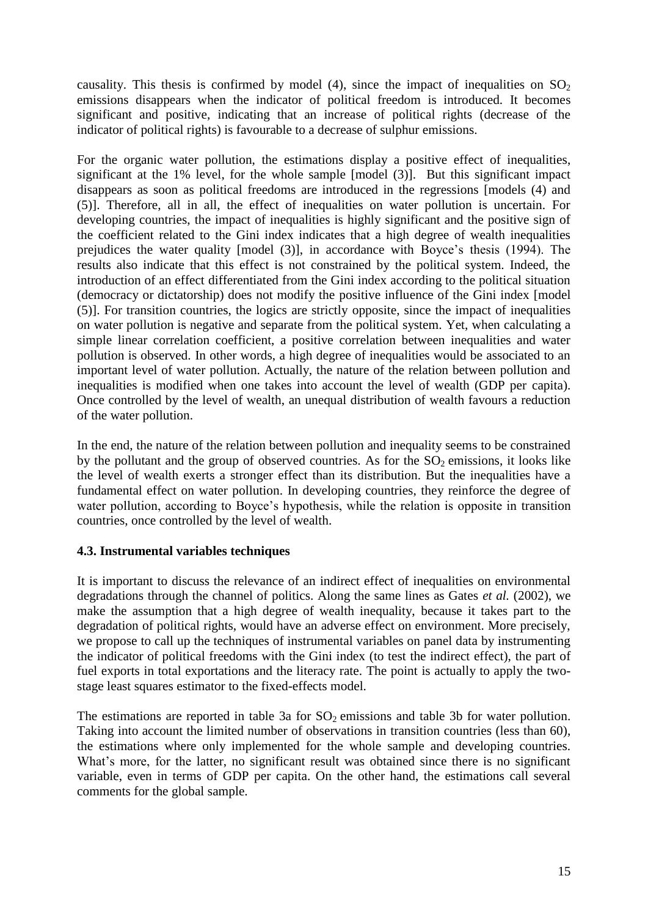causality. This thesis is confirmed by model (4), since the impact of inequalities on  $SO<sub>2</sub>$ emissions disappears when the indicator of political freedom is introduced. It becomes significant and positive, indicating that an increase of political rights (decrease of the indicator of political rights) is favourable to a decrease of sulphur emissions.

For the organic water pollution, the estimations display a positive effect of inequalities, significant at the 1% level, for the whole sample [model (3)]. But this significant impact disappears as soon as political freedoms are introduced in the regressions [models (4) and (5)]. Therefore, all in all, the effect of inequalities on water pollution is uncertain. For developing countries, the impact of inequalities is highly significant and the positive sign of the coefficient related to the Gini index indicates that a high degree of wealth inequalities prejudices the water quality [model (3)], in accordance with Boyce"s thesis (1994). The results also indicate that this effect is not constrained by the political system. Indeed, the introduction of an effect differentiated from the Gini index according to the political situation (democracy or dictatorship) does not modify the positive influence of the Gini index [model (5)]. For transition countries, the logics are strictly opposite, since the impact of inequalities on water pollution is negative and separate from the political system. Yet, when calculating a simple linear correlation coefficient, a positive correlation between inequalities and water pollution is observed. In other words, a high degree of inequalities would be associated to an important level of water pollution. Actually, the nature of the relation between pollution and inequalities is modified when one takes into account the level of wealth (GDP per capita). Once controlled by the level of wealth, an unequal distribution of wealth favours a reduction of the water pollution.

In the end, the nature of the relation between pollution and inequality seems to be constrained by the pollutant and the group of observed countries. As for the  $SO<sub>2</sub>$  emissions, it looks like the level of wealth exerts a stronger effect than its distribution. But the inequalities have a fundamental effect on water pollution. In developing countries, they reinforce the degree of water pollution, according to Boyce's hypothesis, while the relation is opposite in transition countries, once controlled by the level of wealth.

# **4.3. Instrumental variables techniques**

It is important to discuss the relevance of an indirect effect of inequalities on environmental degradations through the channel of politics. Along the same lines as Gates *et al.* (2002), we make the assumption that a high degree of wealth inequality, because it takes part to the degradation of political rights, would have an adverse effect on environment. More precisely, we propose to call up the techniques of instrumental variables on panel data by instrumenting the indicator of political freedoms with the Gini index (to test the indirect effect), the part of fuel exports in total exportations and the literacy rate. The point is actually to apply the twostage least squares estimator to the fixed-effects model.

The estimations are reported in table 3a for  $SO_2$  emissions and table 3b for water pollution. Taking into account the limited number of observations in transition countries (less than 60), the estimations where only implemented for the whole sample and developing countries. What's more, for the latter, no significant result was obtained since there is no significant variable, even in terms of GDP per capita. On the other hand, the estimations call several comments for the global sample.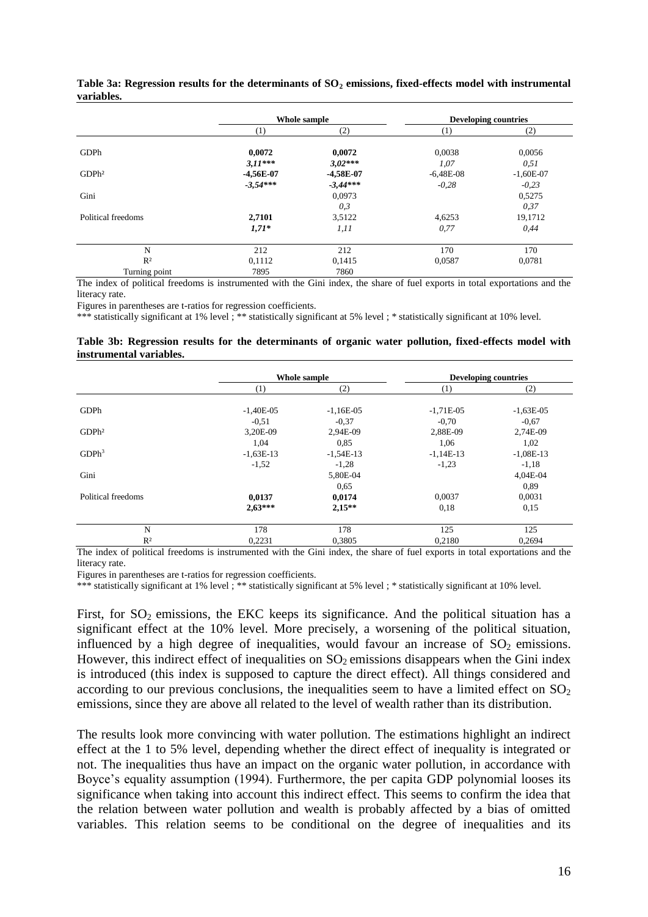|                    |             | Whole sample |             | <b>Developing countries</b> |
|--------------------|-------------|--------------|-------------|-----------------------------|
|                    | (1)         | (2)          | (1)         | (2)                         |
| GDPh               | 0,0072      | 0,0072       | 0,0038      | 0,0056                      |
|                    | $3.11***$   | $3.02***$    | 1,07        | 0,51                        |
| GDPh <sup>2</sup>  | $-4,56E-07$ | $-4,58E-07$  | $-6,48E-08$ | $-1,60E-07$                 |
|                    | $-3.54***$  | $-3,44***$   | $-0.28$     | $-0.23$                     |
| Gini               |             | 0,0973       |             | 0,5275                      |
|                    |             | 0,3          |             | 0,37                        |
| Political freedoms | 2,7101      | 3,5122       | 4,6253      | 19,1712                     |
|                    | $1,71*$     | 1.11         | 0,77        | 0,44                        |
| N                  | 212         | 212          | 170         | 170                         |
| R <sup>2</sup>     | 0,1112      | 0,1415       | 0,0587      | 0,0781                      |
| Turning point      | 7895        | 7860         |             |                             |

**Table 3a: Regression results for the determinants of SO<sup>2</sup> emissions, fixed-effects model with instrumental variables.**

The index of political freedoms is instrumented with the Gini index, the share of fuel exports in total exportations and the literacy rate.

Figures in parentheses are t-ratios for regression coefficients.

\*\*\* statistically significant at 1% level ; \*\* statistically significant at 5% level ; \* statistically significant at 10% level.

#### **Table 3b: Regression results for the determinants of organic water pollution, fixed-effects model with instrumental variables.**

|                    |             | Whole sample |             | <b>Developing countries</b> |
|--------------------|-------------|--------------|-------------|-----------------------------|
|                    | (1)         | (2)          | (1)         | (2)                         |
| GDPh               | $-1,40E-05$ | $-1,16E-05$  | $-1,71E-05$ | $-1,63E-05$                 |
|                    | $-0.51$     | $-0.37$      | $-0.70$     | $-0.67$                     |
| GDPh <sup>2</sup>  | 3,20E-09    | 2,94E-09     | 2,88E-09    | 2,74E-09                    |
|                    | 1,04        | 0.85         | 1,06        | 1,02                        |
| GDPh <sup>3</sup>  | $-1,63E-13$ | $-1,54E-13$  | $-1,14E-13$ | $-1,08E-13$                 |
|                    | $-1,52$     | $-1,28$      | $-1,23$     | $-1,18$                     |
| Gini               |             | 5,80E-04     |             | 4,04E-04                    |
|                    |             | 0.65         |             | 0.89                        |
| Political freedoms | 0,0137      | 0,0174       | 0,0037      | 0,0031                      |
|                    | $2,63***$   | $2,15**$     | 0.18        | 0.15                        |
| N                  | 178         | 178          | 125         | 125                         |
| R <sup>2</sup>     | 0,2231      | 0,3805       | 0,2180      | 0,2694                      |

The index of political freedoms is instrumented with the Gini index, the share of fuel exports in total exportations and the literacy rate.

Figures in parentheses are t-ratios for regression coefficients.

\*\*\* statistically significant at 1% level ; \*\* statistically significant at 5% level ; \* statistically significant at 10% level.

First, for  $SO_2$  emissions, the EKC keeps its significance. And the political situation has a significant effect at the 10% level. More precisely, a worsening of the political situation, influenced by a high degree of inequalities, would favour an increase of  $SO_2$  emissions. However, this indirect effect of inequalities on  $SO_2$  emissions disappears when the Gini index is introduced (this index is supposed to capture the direct effect). All things considered and according to our previous conclusions, the inequalities seem to have a limited effect on  $SO_2$ emissions, since they are above all related to the level of wealth rather than its distribution.

The results look more convincing with water pollution. The estimations highlight an indirect effect at the 1 to 5% level, depending whether the direct effect of inequality is integrated or not. The inequalities thus have an impact on the organic water pollution, in accordance with Boyce"s equality assumption (1994). Furthermore, the per capita GDP polynomial looses its significance when taking into account this indirect effect. This seems to confirm the idea that the relation between water pollution and wealth is probably affected by a bias of omitted variables. This relation seems to be conditional on the degree of inequalities and its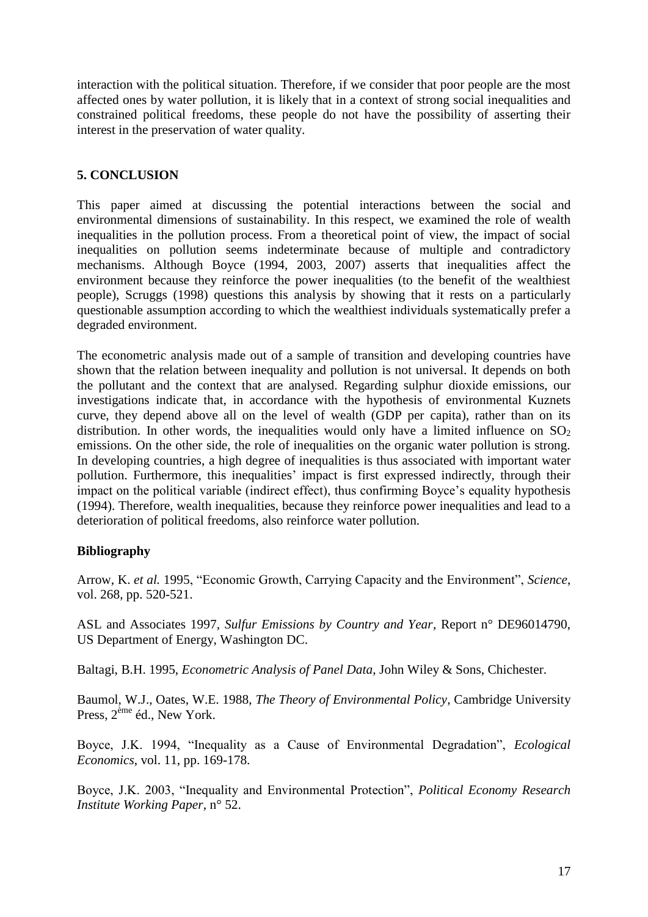interaction with the political situation. Therefore, if we consider that poor people are the most affected ones by water pollution, it is likely that in a context of strong social inequalities and constrained political freedoms, these people do not have the possibility of asserting their interest in the preservation of water quality.

# **5. CONCLUSION**

This paper aimed at discussing the potential interactions between the social and environmental dimensions of sustainability. In this respect, we examined the role of wealth inequalities in the pollution process. From a theoretical point of view, the impact of social inequalities on pollution seems indeterminate because of multiple and contradictory mechanisms. Although Boyce (1994, 2003, 2007) asserts that inequalities affect the environment because they reinforce the power inequalities (to the benefit of the wealthiest people), Scruggs (1998) questions this analysis by showing that it rests on a particularly questionable assumption according to which the wealthiest individuals systematically prefer a degraded environment.

The econometric analysis made out of a sample of transition and developing countries have shown that the relation between inequality and pollution is not universal. It depends on both the pollutant and the context that are analysed. Regarding sulphur dioxide emissions, our investigations indicate that, in accordance with the hypothesis of environmental Kuznets curve, they depend above all on the level of wealth (GDP per capita), rather than on its distribution. In other words, the inequalities would only have a limited influence on  $SO_2$ emissions. On the other side, the role of inequalities on the organic water pollution is strong. In developing countries, a high degree of inequalities is thus associated with important water pollution. Furthermore, this inequalities' impact is first expressed indirectly, through their impact on the political variable (indirect effect), thus confirming Boyce"s equality hypothesis (1994). Therefore, wealth inequalities, because they reinforce power inequalities and lead to a deterioration of political freedoms, also reinforce water pollution.

# **Bibliography**

Arrow, K. *et al.* 1995, "Economic Growth, Carrying Capacity and the Environment", *Science*, vol. 268, pp. 520-521.

ASL and Associates 1997, *Sulfur Emissions by Country and Year*, Report n° DE96014790, US Department of Energy, Washington DC.

Baltagi, B.H. 1995, *Econometric Analysis of Panel Data*, John Wiley & Sons, Chichester.

Baumol, W.J., Oates, W.E. 1988, *The Theory of Environmental Policy*, Cambridge University Press,  $2^{eme}$  éd., New York.

Boyce, J.K. 1994, "Inequality as a Cause of Environmental Degradation", *Ecological Economics*, vol. 11, pp. 169-178.

Boyce, J.K. 2003, "Inequality and Environmental Protection", *Political Economy Research Institute Working Paper*, n° 52.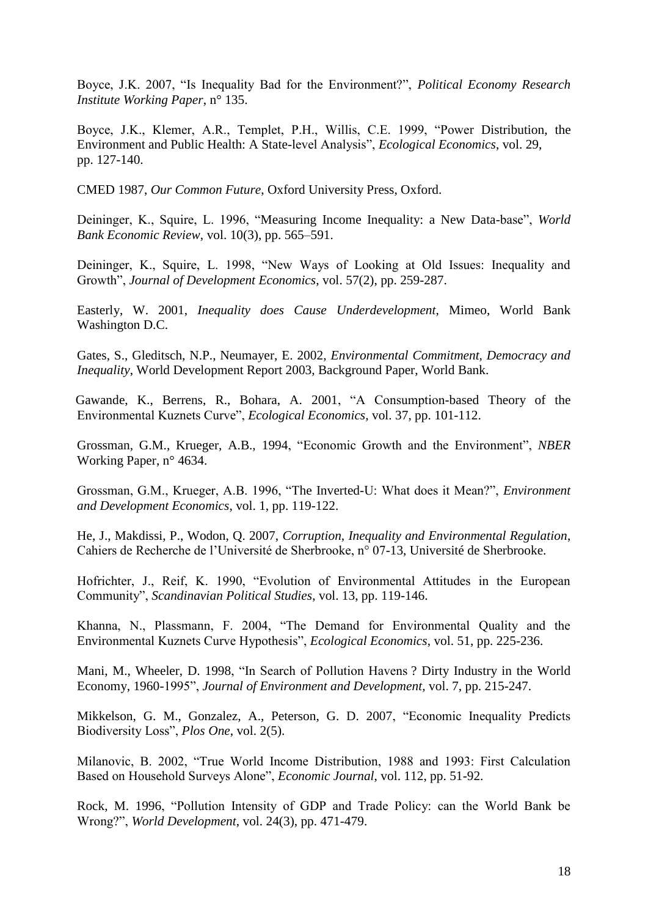Boyce, J.K. 2007, "Is Inequality Bad for the Environment?", *Political Economy Research Institute Working Paper*, n° 135.

Boyce, J.K., Klemer, A.R., Templet, P.H., Willis, C.E. 1999, "Power Distribution, the Environment and Public Health: A State-level Analysis", *Ecological Economics*, vol. 29, pp. 127-140.

CMED 1987, *Our Common Future*, Oxford University Press, Oxford.

Deininger, K., Squire, L. 1996, "Measuring Income Inequality: a New Data-base", *World Bank Economic Review*, vol. 10(3), pp. 565–591.

Deininger, K., Squire, L. 1998, "New Ways of Looking at Old Issues: Inequality and Growth", *Journal of Development Economics*, vol. 57(2), pp. 259-287.

Easterly, W. 2001, *Inequality does Cause Underdevelopment*, Mimeo, World Bank Washington D.C.

Gates, S., Gleditsch, N.P., Neumayer, E. 2002, *Environmental Commitment, Democracy and Inequality*, World Development Report 2003, Background Paper, World Bank.

Gawande, K., Berrens, R., Bohara, A. 2001, "A Consumption-based Theory of the Environmental Kuznets Curve", *Ecological Economics,* vol. 37, pp. 101-112.

Grossman, G.M., Krueger, A.B., 1994, "Economic Growth and the Environment", *NBER* Working Paper, n° 4634.

Grossman, G.M., Krueger, A.B. 1996, "The Inverted-U: What does it Mean?", *Environment and Development Economics*, vol. 1, pp. 119-122.

He, J., Makdissi, P., Wodon, Q. 2007, *Corruption, Inequality and Environmental Regulation*, Cahiers de Recherche de l"Université de Sherbrooke, n° 07-13, Université de Sherbrooke.

Hofrichter, J., Reif, K. 1990, "Evolution of Environmental Attitudes in the European Community", *Scandinavian Political Studies*, vol. 13, pp. 119-146.

Khanna, N., Plassmann, F. 2004, "The Demand for Environmental Quality and the Environmental Kuznets Curve Hypothesis", *Ecological Economics*, vol. 51, pp. 225-236.

Mani, M., Wheeler, D. 1998, "In Search of Pollution Havens ? Dirty Industry in the World Economy, 1960-1995", *Journal of Environment and Development,* vol. 7, pp. 215-247.

Mikkelson, G. M., Gonzalez, A., Peterson, G. D. 2007, "Economic Inequality Predicts Biodiversity Loss", *Plos One*, vol. 2(5).

Milanovic, B. 2002, "True World Income Distribution, 1988 and 1993: First Calculation Based on Household Surveys Alone", *Economic Journal*, vol. 112, pp. 51-92.

Rock, M. 1996, "Pollution Intensity of GDP and Trade Policy: can the World Bank be Wrong?", *World Development*, vol. 24(3), pp. 471-479.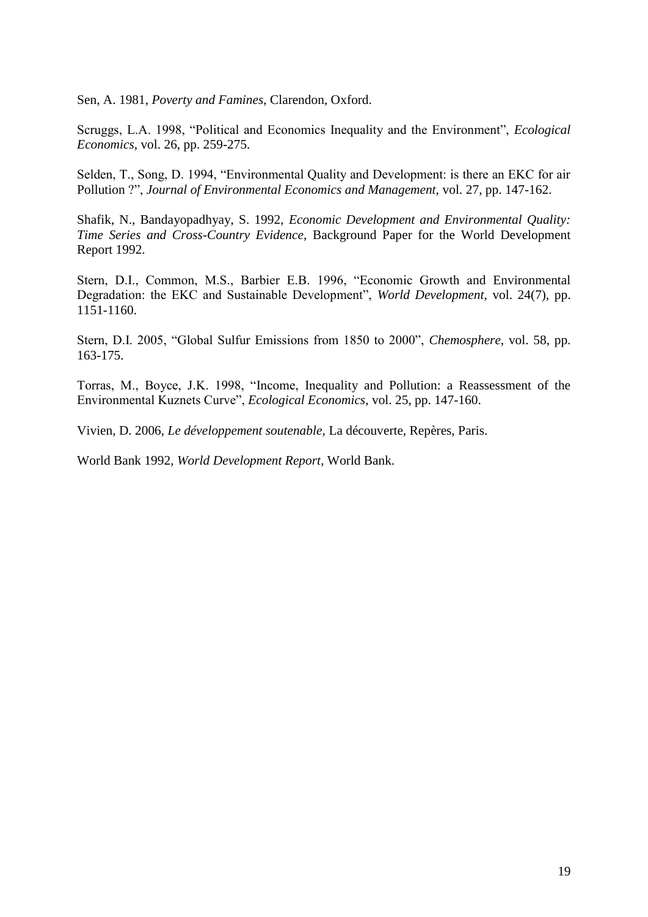Sen, A. 1981, *Poverty and Famines*, Clarendon, Oxford.

Scruggs, L.A. 1998, "Political and Economics Inequality and the Environment", *Ecological Economics*, vol. 26, pp. 259-275.

Selden, T., Song, D. 1994, "Environmental Quality and Development: is there an EKC for air Pollution ?", *Journal of Environmental Economics and Management,* vol. 27, pp. 147-162.

Shafik, N., Bandayopadhyay, S. 1992, *Economic Development and Environmental Quality: Time Series and Cross-Country Evidence*, Background Paper for the World Development Report 1992.

Stern, D.I., Common, M.S., Barbier E.B. 1996, "Economic Growth and Environmental Degradation: the EKC and Sustainable Development", *World Development*, vol. 24(7), pp. 1151-1160.

Stern, D.I. 2005, "Global Sulfur Emissions from 1850 to 2000", *Chemosphere*, vol. 58, pp. 163-175.

Torras, M., Boyce, J.K. 1998, "Income, Inequality and Pollution: a Reassessment of the Environmental Kuznets Curve", *Ecological Economics*, vol. 25, pp. 147-160.

Vivien, D. 2006, *Le développement soutenable*, La découverte, Repères, Paris.

World Bank 1992, *World Development Report*, World Bank.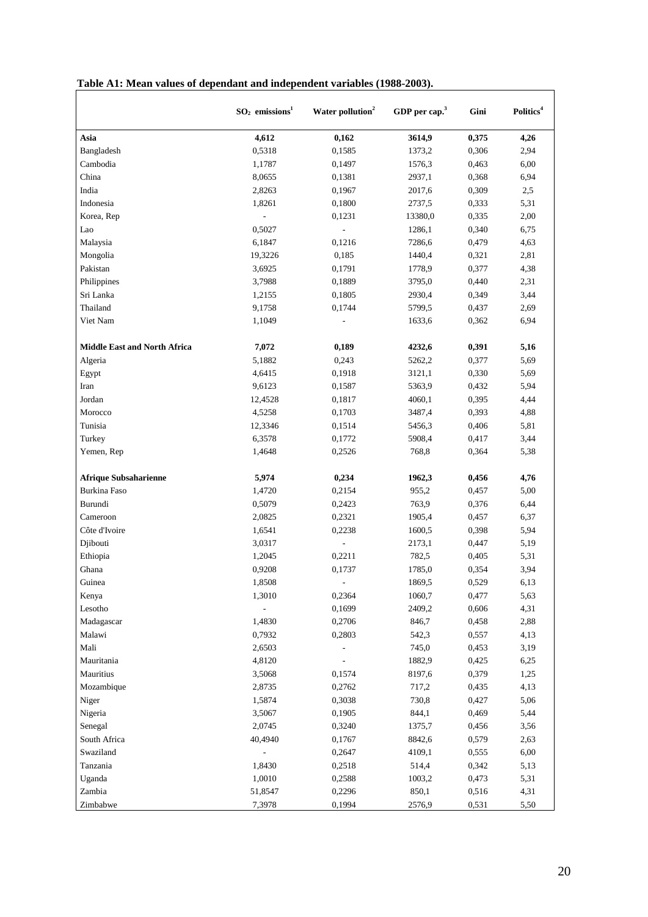|                                     | $SO2$ emissions <sup>1</sup> | Water pollution <sup>2</sup> | GDP per cap. $3$ | Gini  | Politics <sup>4</sup> |
|-------------------------------------|------------------------------|------------------------------|------------------|-------|-----------------------|
| Asia                                | 4,612                        | 0,162                        | 3614,9           | 0,375 | 4,26                  |
| Bangladesh                          | 0,5318                       | 0,1585                       | 1373,2           | 0,306 | 2,94                  |
| Cambodia                            | 1,1787                       | 0,1497                       | 1576,3           | 0,463 | 6,00                  |
| China                               | 8,0655                       | 0,1381                       | 2937,1           | 0,368 | 6,94                  |
| India                               | 2,8263                       | 0,1967                       | 2017,6           | 0,309 | 2,5                   |
| Indonesia                           | 1,8261                       | 0,1800                       | 2737,5           | 0,333 | 5,31                  |
| Korea, Rep                          | $\overline{a}$               | 0,1231                       | 13380,0          | 0,335 | 2,00                  |
| Lao                                 | 0,5027                       | $\overline{\phantom{a}}$     | 1286,1           | 0,340 | 6,75                  |
| Malaysia                            | 6,1847                       | 0,1216                       | 7286,6           | 0,479 | 4,63                  |
| Mongolia                            | 19,3226                      | 0,185                        | 1440,4           | 0,321 | 2,81                  |
| Pakistan                            | 3,6925                       | 0,1791                       | 1778,9           | 0,377 | 4,38                  |
| Philippines                         | 3,7988                       | 0,1889                       | 3795,0           | 0,440 | 2,31                  |
| Sri Lanka                           | 1,2155                       | 0,1805                       | 2930,4           | 0,349 | 3,44                  |
| Thailand                            | 9,1758                       | 0,1744                       | 5799,5           | 0,437 | 2,69                  |
| Viet Nam                            | 1,1049                       |                              | 1633,6           | 0,362 | 6,94                  |
|                                     |                              |                              |                  |       |                       |
| <b>Middle East and North Africa</b> | 7,072                        | 0,189                        | 4232,6           | 0,391 | 5,16                  |
| Algeria                             | 5,1882                       | 0,243                        | 5262,2           | 0,377 | 5,69                  |
| Egypt                               | 4,6415                       | 0,1918                       | 3121,1           | 0,330 | 5,69                  |
| Iran                                | 9,6123                       | 0,1587                       | 5363,9           | 0,432 | 5,94                  |
| Jordan                              | 12,4528                      | 0,1817                       | 4060,1           | 0,395 | 4,44                  |
| Morocco                             | 4,5258                       | 0,1703                       | 3487,4           | 0,393 | 4,88                  |
| Tunisia                             | 12,3346                      | 0,1514                       | 5456,3           | 0,406 | 5,81                  |
| Turkey                              | 6,3578                       | 0,1772                       | 5908,4           | 0,417 | 3,44                  |
| Yemen, Rep                          | 1,4648                       | 0,2526                       | 768,8            | 0,364 | 5,38                  |
| <b>Afrique Subsaharienne</b>        | 5,974                        | 0,234                        | 1962,3           | 0,456 | 4,76                  |
| <b>Burkina Faso</b>                 | 1,4720                       | 0,2154                       | 955,2            | 0,457 | 5,00                  |
| Burundi                             | 0,5079                       | 0,2423                       | 763,9            | 0,376 | 6,44                  |
| Cameroon                            | 2,0825                       | 0,2321                       | 1905,4           | 0,457 | 6,37                  |
| Côte d'Ivoire                       | 1,6541                       | 0,2238                       | 1600,5           | 0,398 | 5,94                  |
| Djibouti                            | 3,0317                       | $\overline{a}$               | 2173,1           | 0,447 | 5,19                  |
| Ethiopia                            | 1,2045                       | 0,2211                       | 782,5            | 0,405 | 5,31                  |
| Ghana                               | 0,9208                       | 0,1737                       | 1785,0           | 0,354 | 3,94                  |
| Guinea                              | 1,8508                       |                              | 1869,5           | 0,529 | 6,13                  |
| Kenya                               | 1,3010                       | 0,2364                       | 1060,7           | 0,477 | 5,63                  |
| Lesotho                             | $\overline{a}$               | 0,1699                       | 2409,2           | 0,606 | 4,31                  |
| Madagascar                          | 1,4830                       | 0,2706                       | 846,7            | 0,458 | 2,88                  |
| Malawi                              | 0,7932                       | 0,2803                       | 542,3            | 0,557 | 4,13                  |
| Mali                                | 2,6503                       |                              | 745,0            | 0,453 | 3,19                  |
| Mauritania                          | 4,8120                       |                              | 1882,9           | 0,425 | 6,25                  |
| Mauritius                           | 3,5068                       | 0,1574                       | 8197,6           | 0,379 | 1,25                  |
| Mozambique                          | 2,8735                       | 0,2762                       | 717,2            | 0,435 | 4,13                  |
| Niger                               | 1,5874                       | 0,3038                       | 730,8            | 0,427 | 5,06                  |
| Nigeria                             | 3,5067                       | 0,1905                       | 844,1            | 0,469 | 5,44                  |
| Senegal                             | 2,0745                       | 0,3240                       | 1375,7           | 0,456 | 3,56                  |
| South Africa                        | 40,4940                      | 0,1767                       | 8842,6           | 0,579 | 2,63                  |
| Swaziland                           | $\overline{a}$               | 0,2647                       | 4109,1           | 0,555 | 6,00                  |
| Tanzania                            | 1,8430                       | 0,2518                       | 514,4            | 0,342 | 5,13                  |
| Uganda                              | 1,0010                       | 0,2588                       | 1003,2           | 0,473 | 5,31                  |
| Zambia                              | 51,8547                      | 0,2296                       | 850,1            | 0,516 | 4,31                  |
| Zimbabwe                            | 7,3978                       | 0,1994                       | 2576,9           | 0,531 | 5,50                  |

# **Table A1: Mean values of dependant and independent variables (1988-2003).**